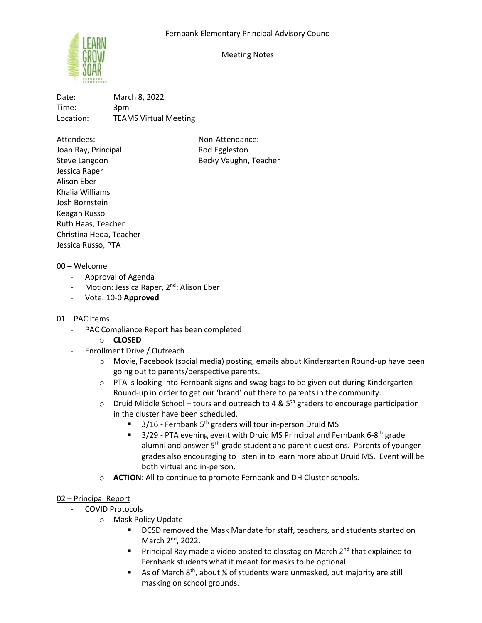

Meeting Notes

Date: March 8, 2022 Time: 3pm Location: TEAMS Virtual Meeting

Attendees: Non-Attendance: Joan Ray, Principal **Rod Eggleston** Steve Langdon Becky Vaughn, Teacher Jessica Raper Alison Eber Khalia Williams Josh Bornstein Keagan Russo Ruth Haas, Teacher Christina Heda, Teacher Jessica Russo, PTA

# 00 – Welcome

- Approval of Agenda
- Motion: Jessica Raper, 2<sup>nd</sup>: Alison Eber
- Vote: 10-0 **Approved**

# 01 – PAC Items

- PAC Compliance Report has been completed
	- o **CLOSED**
- Enrollment Drive / Outreach
	- o Movie, Facebook (social media) posting, emails about Kindergarten Round-up have been going out to parents/perspective parents.
	- o PTA is looking into Fernbank signs and swag bags to be given out during Kindergarten Round-up in order to get our 'brand' out there to parents in the community.
	- $\circ$  Druid Middle School tours and outreach to 4 & 5<sup>th</sup> graders to encourage participation in the cluster have been scheduled.
		- 3/16 Fernbank 5<sup>th</sup> graders will tour in-person Druid MS
		- $\blacksquare$  3/29 PTA evening event with Druid MS Principal and Fernbank 6-8<sup>th</sup> grade alumni and answer 5<sup>th</sup> grade student and parent questions. Parents of younger grades also encouraging to listen in to learn more about Druid MS. Event will be both virtual and in-person.
	- o **ACTION**: All to continue to promote Fernbank and DH Cluster schools.

# 02 – Principal Report

- COVID Protocols
	- o Mask Policy Update
		- DCSD removed the Mask Mandate for staff, teachers, and students started on March 2<sup>nd</sup>, 2022.
		- **•** Principal Ray made a video posted to classtag on March  $2^{nd}$  that explained to Fernbank students what it meant for masks to be optional.
		- **E** As of March 8<sup>th</sup>, about  $\frac{1}{4}$  of students were unmasked, but majority are still masking on school grounds.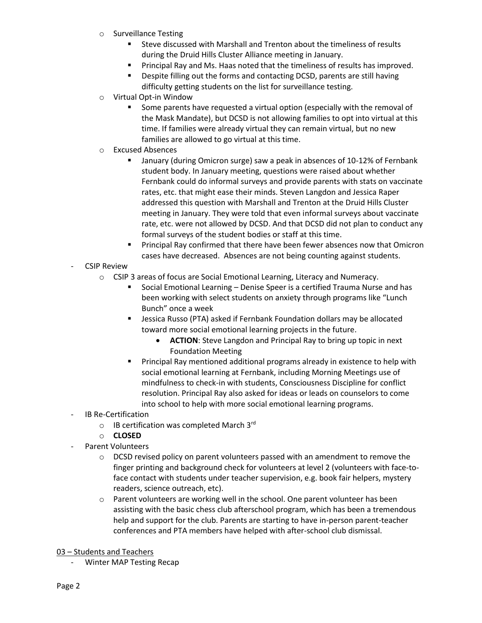- o Surveillance Testing
	- Steve discussed with Marshall and Trenton about the timeliness of results during the Druid Hills Cluster Alliance meeting in January.
	- Principal Ray and Ms. Haas noted that the timeliness of results has improved.
	- Despite filling out the forms and contacting DCSD, parents are still having difficulty getting students on the list for surveillance testing.
- o Virtual Opt-in Window
	- Some parents have requested a virtual option (especially with the removal of the Mask Mandate), but DCSD is not allowing families to opt into virtual at this time. If families were already virtual they can remain virtual, but no new families are allowed to go virtual at this time.
- o Excused Absences
	- January (during Omicron surge) saw a peak in absences of 10-12% of Fernbank student body. In January meeting, questions were raised about whether Fernbank could do informal surveys and provide parents with stats on vaccinate rates, etc. that might ease their minds. Steven Langdon and Jessica Raper addressed this question with Marshall and Trenton at the Druid Hills Cluster meeting in January. They were told that even informal surveys about vaccinate rate, etc. were not allowed by DCSD. And that DCSD did not plan to conduct any formal surveys of the student bodies or staff at this time.
	- Principal Ray confirmed that there have been fewer absences now that Omicron cases have decreased. Absences are not being counting against students.
- CSIP Review
	- o CSIP 3 areas of focus are Social Emotional Learning, Literacy and Numeracy.
		- Social Emotional Learning Denise Speer is a certified Trauma Nurse and has been working with select students on anxiety through programs like "Lunch Bunch" once a week
		- **EXP** Jessica Russo (PTA) asked if Fernbank Foundation dollars may be allocated toward more social emotional learning projects in the future.
			- **ACTION**: Steve Langdon and Principal Ray to bring up topic in next Foundation Meeting
		- Principal Ray mentioned additional programs already in existence to help with social emotional learning at Fernbank, including Morning Meetings use of mindfulness to check-in with students, Consciousness Discipline for conflict resolution. Principal Ray also asked for ideas or leads on counselors to come into school to help with more social emotional learning programs.
- IB Re-Certification
	- o IB certification was completed March 3rd
	- o **CLOSED**
- Parent Volunteers
	- $\circ$  DCSD revised policy on parent volunteers passed with an amendment to remove the finger printing and background check for volunteers at level 2 (volunteers with face-toface contact with students under teacher supervision, e.g. book fair helpers, mystery readers, science outreach, etc).
	- $\circ$  Parent volunteers are working well in the school. One parent volunteer has been assisting with the basic chess club afterschool program, which has been a tremendous help and support for the club. Parents are starting to have in-person parent-teacher conferences and PTA members have helped with after-school club dismissal.
- 03 Students and Teachers
	- Winter MAP Testing Recap